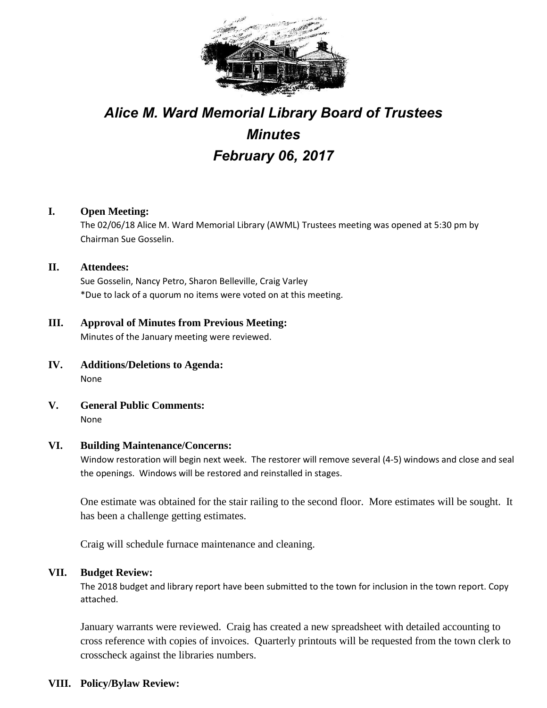

# *Alice M. Ward Memorial Library Board of Trustees Minutes February 06, 2017*

# **I. Open Meeting:**

The 02/06/18 Alice M. Ward Memorial Library (AWML) Trustees meeting was opened at 5:30 pm by Chairman Sue Gosselin.

**II. Attendees:** Sue Gosselin, Nancy Petro, Sharon Belleville, Craig Varley \*Due to lack of a quorum no items were voted on at this meeting.

# **III. Approval of Minutes from Previous Meeting:** Minutes of the January meeting were reviewed.

- **IV. Additions/Deletions to Agenda:** None
- **V. General Public Comments:** None

## **VI. Building Maintenance/Concerns:**

Window restoration will begin next week. The restorer will remove several (4-5) windows and close and seal the openings. Windows will be restored and reinstalled in stages.

One estimate was obtained for the stair railing to the second floor. More estimates will be sought. It has been a challenge getting estimates.

Craig will schedule furnace maintenance and cleaning.

## **VII. Budget Review:**

The 2018 budget and library report have been submitted to the town for inclusion in the town report. Copy attached.

January warrants were reviewed. Craig has created a new spreadsheet with detailed accounting to cross reference with copies of invoices. Quarterly printouts will be requested from the town clerk to crosscheck against the libraries numbers.

# **VIII. Policy/Bylaw Review:**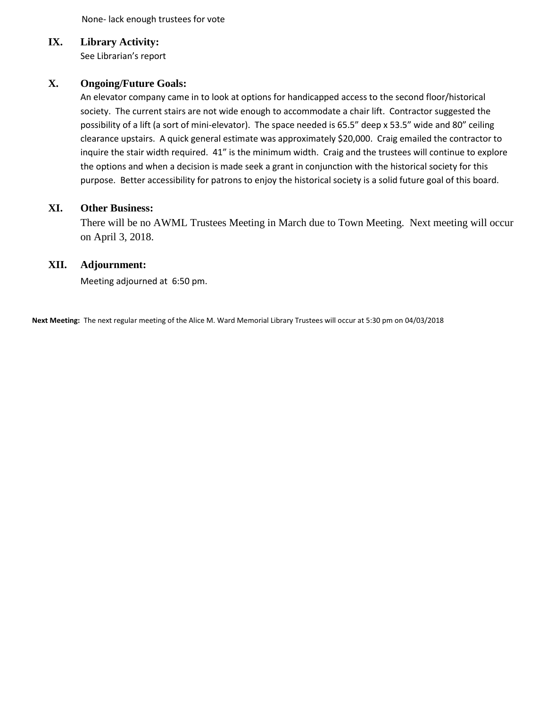None- lack enough trustees for vote

## **IX. Library Activity:**

See Librarian's report

# **X. Ongoing/Future Goals:**

An elevator company came in to look at options for handicapped access to the second floor/historical society. The current stairs are not wide enough to accommodate a chair lift. Contractor suggested the possibility of a lift (a sort of mini-elevator). The space needed is 65.5" deep x 53.5" wide and 80" ceiling clearance upstairs. A quick general estimate was approximately \$20,000. Craig emailed the contractor to inquire the stair width required. 41" is the minimum width. Craig and the trustees will continue to explore the options and when a decision is made seek a grant in conjunction with the historical society for this purpose. Better accessibility for patrons to enjoy the historical society is a solid future goal of this board.

#### **XI. Other Business:**

There will be no AWML Trustees Meeting in March due to Town Meeting. Next meeting will occur on April 3, 2018.

#### **XII. Adjournment:**

Meeting adjourned at 6:50 pm.

**Next Meeting:** The next regular meeting of the Alice M. Ward Memorial Library Trustees will occur at 5:30 pm on 04/03/2018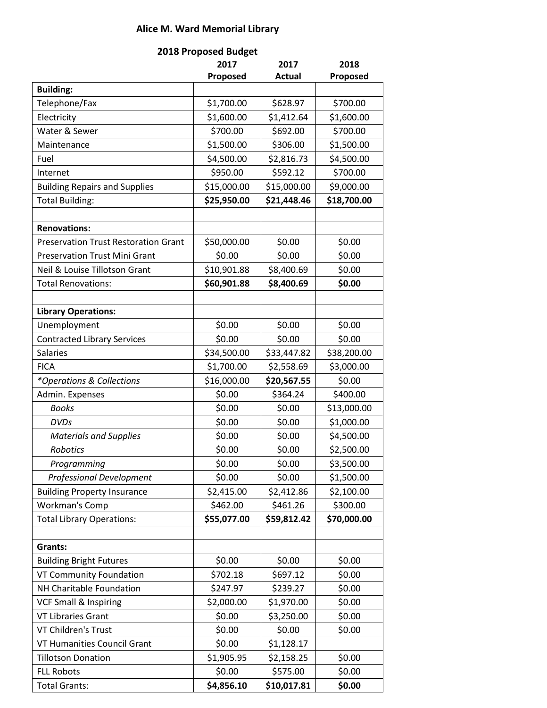# **Alice M. Ward Memorial Library**

| 2018 Proposed Budget                        |             |             |             |
|---------------------------------------------|-------------|-------------|-------------|
|                                             | 2017        | 2017        | 2018        |
|                                             | Proposed    | Actual      | Proposed    |
| <b>Building:</b>                            |             |             |             |
| Telephone/Fax                               | \$1,700.00  | \$628.97    | \$700.00    |
| Electricity                                 | \$1,600.00  | \$1,412.64  | \$1,600.00  |
| Water & Sewer                               | \$700.00    | \$692.00    | \$700.00    |
| Maintenance                                 | \$1,500.00  | \$306.00    | \$1,500.00  |
| Fuel                                        | \$4,500.00  | \$2,816.73  | \$4,500.00  |
| Internet                                    | \$950.00    | \$592.12    | \$700.00    |
| <b>Building Repairs and Supplies</b>        | \$15,000.00 | \$15,000.00 | \$9,000.00  |
| <b>Total Building:</b>                      | \$25,950.00 | \$21,448.46 | \$18,700.00 |
|                                             |             |             |             |
| <b>Renovations:</b>                         |             |             |             |
| <b>Preservation Trust Restoration Grant</b> | \$50,000.00 | \$0.00      | \$0.00      |
| <b>Preservation Trust Mini Grant</b>        | \$0.00      | \$0.00      | \$0.00      |
| Neil & Louise Tillotson Grant               | \$10,901.88 | \$8,400.69  | \$0.00      |
| <b>Total Renovations:</b>                   | \$60,901.88 | \$8,400.69  | \$0.00      |
| <b>Library Operations:</b>                  |             |             |             |
| Unemployment                                | \$0.00      | \$0.00      | \$0.00      |
| <b>Contracted Library Services</b>          | \$0.00      | \$0.00      | \$0.00      |
| <b>Salaries</b>                             | \$34,500.00 | \$33,447.82 | \$38,200.00 |
| <b>FICA</b>                                 | \$1,700.00  | \$2,558.69  | \$3,000.00  |
| *Operations & Collections                   | \$16,000.00 | \$20,567.55 | \$0.00      |
| Admin. Expenses                             | \$0.00      | \$364.24    | \$400.00    |
| <b>Books</b>                                | \$0.00      | \$0.00      | \$13,000.00 |
| <b>DVDs</b>                                 | \$0.00      | \$0.00      | \$1,000.00  |
| <b>Materials and Supplies</b>               | \$0.00      | \$0.00      | \$4,500.00  |
| Robotics                                    | \$0.00      | \$0.00      | \$2,500.00  |
| Programming                                 | \$0.00      | \$0.00      | \$3,500.00  |
| <b>Professional Development</b>             | \$0.00      | \$0.00      | \$1,500.00  |
| <b>Building Property Insurance</b>          | \$2,415.00  | \$2,412.86  | \$2,100.00  |
| Workman's Comp                              | \$462.00    | \$461.26    | \$300.00    |
| <b>Total Library Operations:</b>            | \$55,077.00 | \$59,812.42 | \$70,000.00 |
|                                             |             |             |             |
| Grants:                                     |             |             |             |
| <b>Building Bright Futures</b>              | \$0.00      | \$0.00      | \$0.00      |
| VT Community Foundation                     | \$702.18    | \$697.12    | \$0.00      |
| NH Charitable Foundation                    | \$247.97    | \$239.27    | \$0.00      |
| <b>VCF Small &amp; Inspiring</b>            | \$2,000.00  | \$1,970.00  | \$0.00      |
| VT Libraries Grant                          | \$0.00      | \$3,250.00  | \$0.00      |
| <b>VT Children's Trust</b>                  | \$0.00      | \$0.00      | \$0.00      |
| VT Humanities Council Grant                 | \$0.00      | \$1,128.17  |             |
| <b>Tillotson Donation</b>                   | \$1,905.95  | \$2,158.25  | \$0.00      |
| <b>FLL Robots</b>                           | \$0.00      | \$575.00    | \$0.00      |
| <b>Total Grants:</b>                        | \$4,856.10  | \$10,017.81 | \$0.00      |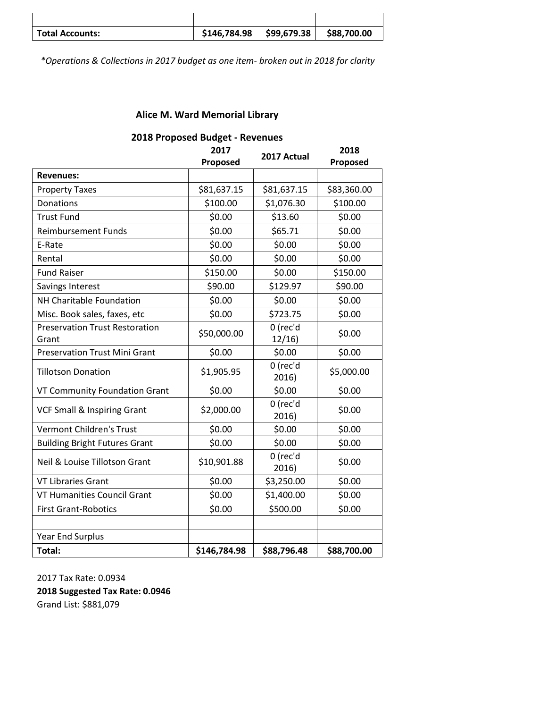| <b>Total Accounts:</b> | \$146,784.98 | $\frac{1}{2}$ \$99,679.38 | \$88,700.00 |
|------------------------|--------------|---------------------------|-------------|

*\*Operations & Collections in 2017 budget as one item- broken out in 2018 for clarity*

# **Alice M. Ward Memorial Library**

|                                                | TO I TOPOSCA DANBER<br>2017<br>Proposed | <b>SEXTER</b><br>2017 Actual | 2018<br>Proposed |
|------------------------------------------------|-----------------------------------------|------------------------------|------------------|
| <b>Revenues:</b>                               |                                         |                              |                  |
| <b>Property Taxes</b>                          | \$81,637.15                             | \$81,637.15                  | \$83,360.00      |
| Donations                                      | \$100.00                                | \$1,076.30                   | \$100.00         |
| <b>Trust Fund</b>                              | \$0.00                                  | \$13.60                      | \$0.00           |
| <b>Reimbursement Funds</b>                     | \$0.00                                  | \$65.71                      | \$0.00           |
| E-Rate                                         | \$0.00                                  | \$0.00                       | \$0.00           |
| Rental                                         | \$0.00                                  | \$0.00                       | \$0.00           |
| <b>Fund Raiser</b>                             | \$150.00                                | \$0.00                       | \$150.00         |
| Savings Interest                               | \$90.00                                 | \$129.97                     | \$90.00          |
| NH Charitable Foundation                       | \$0.00                                  | \$0.00                       | \$0.00           |
| Misc. Book sales, faxes, etc                   | \$0.00                                  | \$723.75                     | \$0.00           |
| <b>Preservation Trust Restoration</b><br>Grant | \$50,000.00                             | 0 (rec'd<br>12/16            | \$0.00           |
| <b>Preservation Trust Mini Grant</b>           | \$0.00                                  | \$0.00                       | \$0.00           |
| <b>Tillotson Donation</b>                      | \$1,905.95                              | 0 (rec'd<br>2016)            | \$5,000.00       |
| VT Community Foundation Grant                  | \$0.00                                  | \$0.00                       | \$0.00           |
| <b>VCF Small &amp; Inspiring Grant</b>         | \$2,000.00                              | 0 (rec'd<br>2016)            | \$0.00           |
| <b>Vermont Children's Trust</b>                | \$0.00                                  | \$0.00                       | \$0.00           |
| <b>Building Bright Futures Grant</b>           | \$0.00                                  | \$0.00                       | \$0.00           |
| Neil & Louise Tillotson Grant                  | \$10,901.88                             | 0 (rec'd<br>2016)            | \$0.00           |
| <b>VT Libraries Grant</b>                      | \$0.00                                  | \$3,250.00                   | \$0.00           |
| <b>VT Humanities Council Grant</b>             | \$0.00                                  | \$1,400.00                   | \$0.00           |
| <b>First Grant-Robotics</b>                    | \$0.00                                  | \$500.00                     | \$0.00           |
|                                                |                                         |                              |                  |
| <b>Year End Surplus</b>                        |                                         |                              |                  |
| Total:                                         | \$146,784.98                            | \$88,796.48                  | \$88,700.00      |

#### **2018 Proposed Budget - Revenues**

2017 Tax Rate: 0.0934 **2018 Suggested Tax Rate: 0.0946** Grand List: \$881,079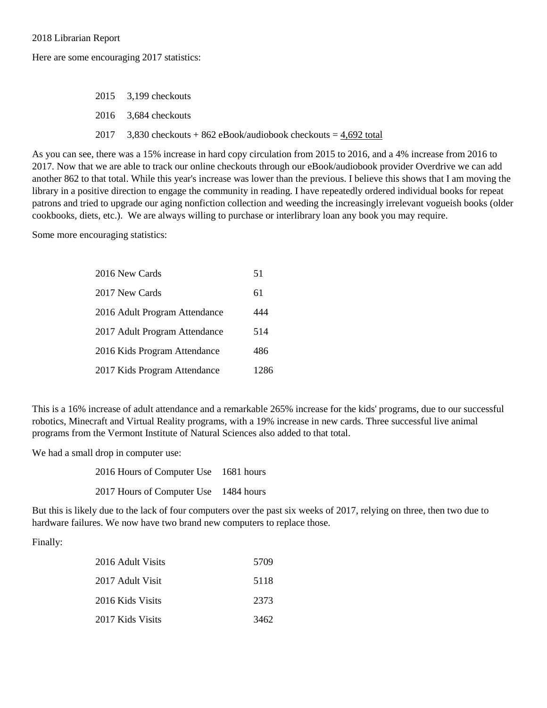2018 Librarian Report

Here are some encouraging 2017 statistics:

2015 3,199 checkouts 2016 3,684 checkouts 2017  $3,830$  checkouts + 862 eBook/audiobook checkouts =  $4,692$  total

As you can see, there was a 15% increase in hard copy circulation from 2015 to 2016, and a 4% increase from 2016 to 2017. Now that we are able to track our online checkouts through our eBook/audiobook provider Overdrive we can add another 862 to that total. While this year's increase was lower than the previous. I believe this shows that I am moving the library in a positive direction to engage the community in reading. I have repeatedly ordered individual books for repeat patrons and tried to upgrade our aging nonfiction collection and weeding the increasingly irrelevant vogueish books (older cookbooks, diets, etc.). We are always willing to purchase or interlibrary loan any book you may require.

Some more encouraging statistics:

| 2016 New Cards                | 51   |
|-------------------------------|------|
| 2017 New Cards                | 61   |
| 2016 Adult Program Attendance | 444  |
| 2017 Adult Program Attendance | 514  |
| 2016 Kids Program Attendance  | 486  |
| 2017 Kids Program Attendance  | 1286 |

This is a 16% increase of adult attendance and a remarkable 265% increase for the kids' programs, due to our successful robotics, Minecraft and Virtual Reality programs, with a 19% increase in new cards. Three successful live animal programs from the Vermont Institute of Natural Sciences also added to that total.

We had a small drop in computer use:

2016 Hours of Computer Use 1681 hours 2017 Hours of Computer Use 1484 hours

But this is likely due to the lack of four computers over the past six weeks of 2017, relying on three, then two due to hardware failures. We now have two brand new computers to replace those.

Finally:

| 2016 Adult Visits | 5709 |
|-------------------|------|
| 2017 Adult Visit  | 5118 |
| 2016 Kids Visits  | 2373 |
| 2017 Kids Visits  | 3462 |